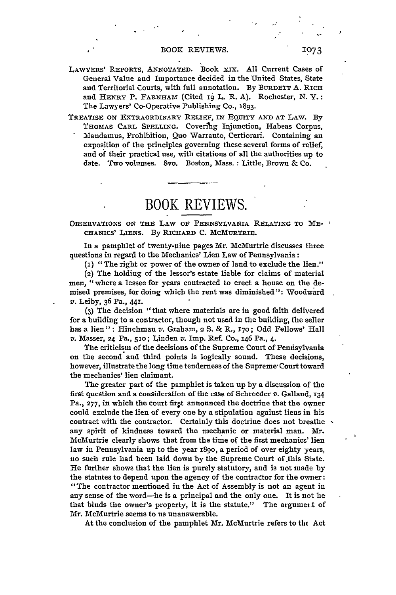LAWYERS' REPORTS, ANNOTATED. Book xix. **All** Current Cases of General Value and Importance decided in the United States, State and Territorial Courts, with full annotation. **By BURDETT A.** RICH and HENRY P. FARNHAM (Cited 19 L. R. **A).** Rochester, **N.** Y.: The Lawyers' Co-Operative Publishing Co., 1893.

**TREATISE ON** EXTRAORDINARY **RELIEF, IN EQUITY AND AT** LAW. **By THOMAS CARL** SPELLING. Covering Injunction, Habeas Corpus, Mandamus, Prohibition, *Quo* Warranto, Certiorari. Containing an exposition of the principles governing these several forms of relief, and of their practical use, with citations of all the authorities up to date. Two volumes. 8vo. Boston, Mass. : Little, Brown & Co.

BOOK REVIEWS.

## **OBSERVATIONS ON THE LAW** OF **PENNSYLVANIA** RELATING **TO ME-CHANICS' LIENS. By** RICHARD C. **MCMURTRIE.**

In a pamphlet of twenty-nine pages Mr. McMurtrie discusses three questions in regard to the Mechanics' Lien Law of Pennsylvania:

 $(i)$  "The right or power of the owner of land to exclude the lien."

(2) The holding of the lessor's estate liable for claims of material men, "where a lessee for years contracted to erect a house on the demised premises, for doing which the rent was diminished": Woodward *v.* Leiby, 36 Pa., 441.

(3) The decision **"** that where materials are in good faith delivered for a building to a contractor, though not used in the building, the seller has a lien" : Hinchman *v.* Graham, 2 **S.** & R., **170;** Odd Fellows' Hall v. Masser, 24 Pa., **51o;** Linden *v.* Imp. Ref. Co., 146 Pa., 4.

The criticism of the decisions of the Supreme Court of Penisylvania on the second and third points is logically sound. These decisions, however, illustrate the long time tenderness of the Supreme- Court toward the mechanics' lien claimant.

The greater part of the pamphlet is taken up by a discussion of the first question and a consideration of the case of Schroeder *v.* Galland, 134 Pa., **277,** in which the court firpt announced the doctrine that the owner could exclude the lien of every one by a stipulation against liens in his contract with the contractor. Certainly this doctrine does not breathe  $\sim$ any spirit of kindness toward the mechanic or material man. Mr. McMurtrie clearly shows that from the time of the first mechanics' lien law in Pennsylvania up to the year *i89o,* a period of over eighty years, no such rule had been laid down **by** the Supreme Court of.this State. He further shows that the lien is purely statutory, and is not made by the statutes to depend upon the agency of the contractor for the owner: "The contractor mentioned in the Act of Assembly is not an agent in any sense of the word-he is a principal and the only one. It is not he that binds the owner's property, it is the statute." The argument of Mr. McMurtrie seems to us unanswerable.

At the conclusion of the pamphlet Mr. McMurtrie refers to the Act